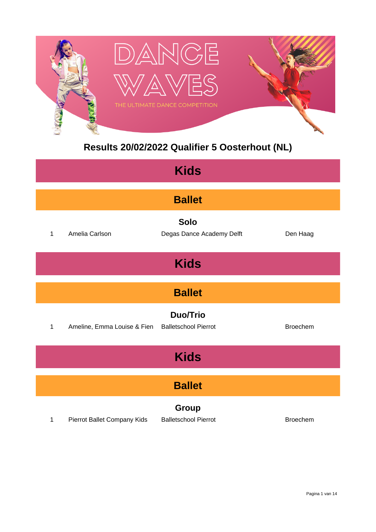

### **Results 20/02/2022 Qualifier 5 Oosterhout (NL)**

| <b>Kids</b>   |                             |                                                |                 |  |  |
|---------------|-----------------------------|------------------------------------------------|-----------------|--|--|
|               | <b>Ballet</b>               |                                                |                 |  |  |
| $\mathbf{1}$  | Amelia Carlson              | <b>Solo</b><br>Degas Dance Academy Delft       | Den Haag        |  |  |
|               |                             | <b>Kids</b>                                    |                 |  |  |
| <b>Ballet</b> |                             |                                                |                 |  |  |
| $\mathbf{1}$  | Ameline, Emma Louise & Fien | <b>Duo/Trio</b><br><b>Balletschool Pierrot</b> | <b>Broechem</b> |  |  |
|               | <b>Kids</b>                 |                                                |                 |  |  |
| <b>Ballet</b> |                             |                                                |                 |  |  |
| 1             | Pierrot Ballet Company Kids | Group<br><b>Balletschool Pierrot</b>           | <b>Broechem</b> |  |  |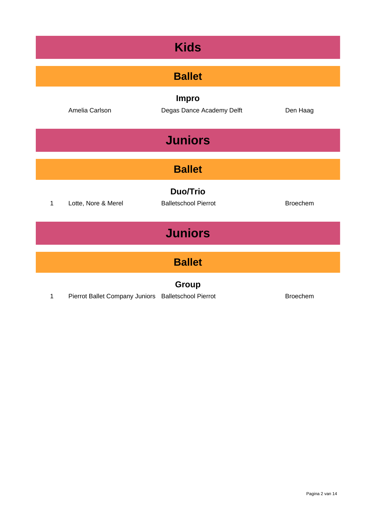| <b>Kids</b>    |                                                     |                                                |                 |  |
|----------------|-----------------------------------------------------|------------------------------------------------|-----------------|--|
| <b>Ballet</b>  |                                                     |                                                |                 |  |
|                | Amelia Carlson                                      | <b>Impro</b><br>Degas Dance Academy Delft      | Den Haag        |  |
|                |                                                     | <b>Juniors</b>                                 |                 |  |
| <b>Ballet</b>  |                                                     |                                                |                 |  |
| 1              | Lotte, Nore & Merel                                 | <b>Duo/Trio</b><br><b>Balletschool Pierrot</b> | <b>Broechem</b> |  |
| <b>Juniors</b> |                                                     |                                                |                 |  |
| <b>Ballet</b>  |                                                     |                                                |                 |  |
| 1              | Pierrot Ballet Company Juniors Balletschool Pierrot | Group                                          | <b>Broechem</b> |  |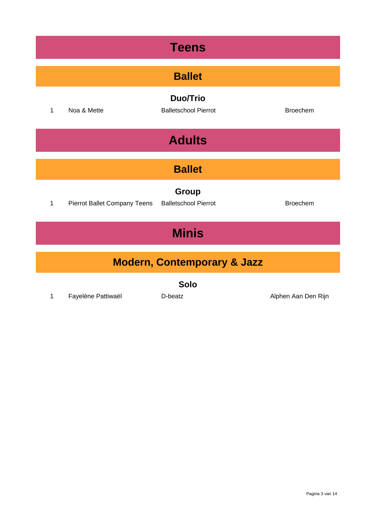| <b>Teens</b>                           |                              |                                                |                     |  |  |
|----------------------------------------|------------------------------|------------------------------------------------|---------------------|--|--|
|                                        | <b>Ballet</b>                |                                                |                     |  |  |
| 1                                      | Noa & Mette                  | <b>Duo/Trio</b><br><b>Balletschool Pierrot</b> | <b>Broechem</b>     |  |  |
|                                        | <b>Adults</b>                |                                                |                     |  |  |
|                                        | <b>Ballet</b>                |                                                |                     |  |  |
| 1                                      | Pierrot Ballet Company Teens | Group<br><b>Balletschool Pierrot</b>           | <b>Broechem</b>     |  |  |
| <b>Minis</b>                           |                              |                                                |                     |  |  |
| <b>Modern, Contemporary &amp; Jazz</b> |                              |                                                |                     |  |  |
| <b>Solo</b>                            |                              |                                                |                     |  |  |
| 1                                      | Fayelène Pattiwaël           | D-beatz                                        | Alphen Aan Den Rijn |  |  |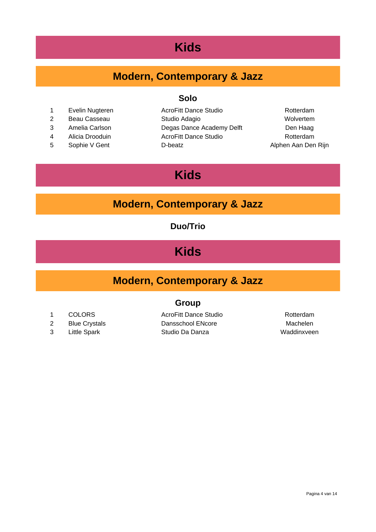### **Kids**

### **Modern, Contemporary & Jazz**

#### **Solo**

- 
- 
- 
- 
- 

1 Evelin Nugteren **AcroFitt Dance Studio** Rotterdam 2 Beau Casseau Studio Adagio Wolvertem 3 Amelia Carlson Degas Dance Academy Delft Den Haag 4 Alicia Drooduin AcroFitt Dance Studio Rotterdam 5 Sophie V Gent **D-beatz D-beatz** Alphen Aan Den Rijn

# **Kids**

#### **Modern, Contemporary & Jazz**

#### **Duo/Trio**

# **Kids**

### **Modern, Contemporary & Jazz**

#### **Group**

- 1 COLORS **AcroFitt Dance Studio** Rotterdam
- 
- 
- 2 Blue Crystals **Dansschool ENcore** Machelen 3 Little Spark Studio Da Danza Maddinxveen
- 

#### Pagina 4 van 14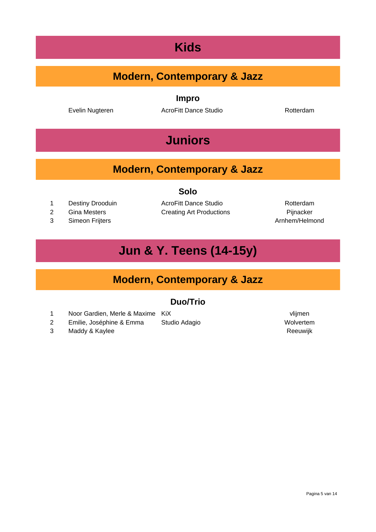# **Kids**

### **Modern, Contemporary & Jazz**

**Impro**

Evelin Nugteren **AcroFitt Dance Studio AcroFitt Dance Studio** Rotterdam

# **Juniors**

#### **Modern, Contemporary & Jazz**

#### **Solo**

- 1 Destiny Drooduin **AcroFitt Dance Studio AcroFitt Dance Studio** Rotterdam
- 
- 3 Simeon Frijters **Arnhem/Helmond Community** Simeon Frijters **Arnhem/Helmond**

2 Gina Mesters **Creating Art Productions** Pijnacker

# **Jun & Y. Teens (14-15y)**

### **Modern, Contemporary & Jazz**

#### **Duo/Trio**

- 1 Noor Gardien, Merle & Maxime KiX vlijmen
- 2 Emilie, Joséphine & Emma Studio Adagio **Marshall** Wolvertem
- 3 Maddy & Kaylee Reeuwijk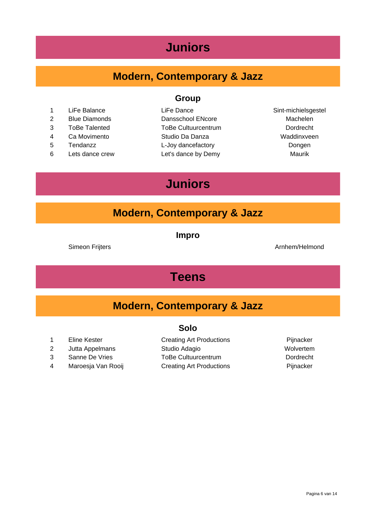## **Juniors**

### **Modern, Contemporary & Jazz**

- 1 LiFe Balance LiFe Dance LiFe Dance Sint-michielsgestel
- 
- 
- 
- 
- 6 Lets dance crew Let's dance by Demy Maurik

#### **Group**

2 Blue Diamonds **Dansschool ENcore** Machelen ToBe Talented ToBe Cultuurcentrum Dordrecht Ca Movimento Studio Da Danza Waddinxveen Tendanzz L-Joy dancefactory Dongen

# **Juniors**

#### **Modern, Contemporary & Jazz**

**Impro**

#### Simeon Frijters **Arnhem/Helmond**

## **Teens**

#### **Modern, Contemporary & Jazz**

#### **Solo**

- 
- 
- 
- 4 Maroesja Van Rooij Creating Art Productions Pijnacker

#### 1 Eline Kester **Creating Art Productions** Pijnacker 2 Jutta Appelmans Studio Adagio Nolvertem 3 Sanne De Vries ToBe Cultuurcentrum Dordrecht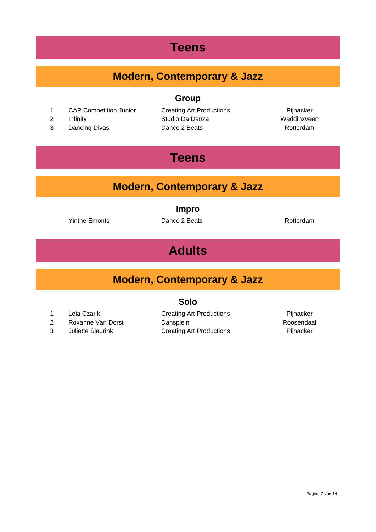# **Teens**

### **Modern, Contemporary & Jazz**

#### **Group**

- 1 CAP Competition Junior Creating Art Productions Pijnacker
- 
- 

2 Infinity Studio Da Danza Waddinxveen 3 Dancing Divas **Dance 2 Beats Dance 2 Beats Rotterdam** 

# **Teens**

### **Modern, Contemporary & Jazz**

**Impro**

Yinthe Emonts **Dance 2 Beats Rotterdam Rotterdam** 

# **Adults**

#### **Modern, Contemporary & Jazz**

#### **Solo**

- 1 Leia Czarik **Creating Art Productions Creating Art Productions** Pijnacker
- 
- 
- 2 Roxanne Van Dorst Dansplein Dansplein Roosendaal 3 Juliette Sleurink Creating Art Productions Pijnacker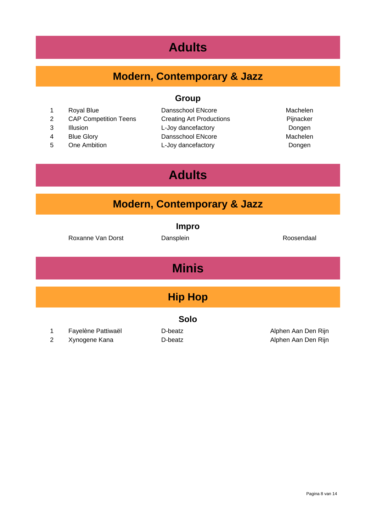# **Adults**

# **Modern, Contemporary & Jazz**

**Group**

- 
- 2 CAP Competition Teens Creating Art Productions Fijnacker
- 
- 
- 

1 Royal Blue **Dansschool ENcore** Machelen 3 Illusion L-Joy dancefactory Dongen 4 Blue Glory **Dansschool ENcore** Machelen 5 One Ambition L-Joy dancefactory Dongen

# **Adults**

| <b>Modern, Contemporary &amp; Jazz</b> |                                     |                           |                                            |  |  |
|----------------------------------------|-------------------------------------|---------------------------|--------------------------------------------|--|--|
|                                        | Roxanne Van Dorst                   | <b>Impro</b><br>Dansplein | Roosendaal                                 |  |  |
|                                        | <b>Minis</b>                        |                           |                                            |  |  |
|                                        | <b>Hip Hop</b>                      |                           |                                            |  |  |
| <b>Solo</b>                            |                                     |                           |                                            |  |  |
| 1<br>2                                 | Fayelène Pattiwaël<br>Xynogene Kana | D-beatz<br>D-beatz        | Alphen Aan Den Rijn<br>Alphen Aan Den Rijn |  |  |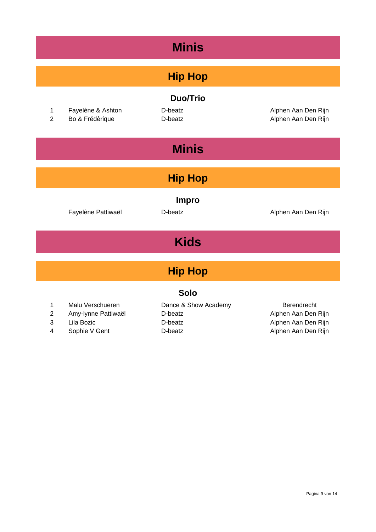| <b>Minis</b>                  |                                                                        |                                                       |                                                                                  |  |  |
|-------------------------------|------------------------------------------------------------------------|-------------------------------------------------------|----------------------------------------------------------------------------------|--|--|
|                               | <b>Hip Hop</b>                                                         |                                                       |                                                                                  |  |  |
| 1<br>$\overline{2}$           | Fayelène & Ashton<br>Bo & Frédèrique                                   | <b>Duo/Trio</b><br>D-beatz<br>D-beatz                 | Alphen Aan Den Rijn<br>Alphen Aan Den Rijn                                       |  |  |
|                               |                                                                        | <b>Minis</b>                                          |                                                                                  |  |  |
|                               |                                                                        | <b>Hip Hop</b>                                        |                                                                                  |  |  |
|                               | Fayelène Pattiwaël                                                     | <b>Impro</b><br>D-beatz                               | Alphen Aan Den Rijn                                                              |  |  |
|                               | <b>Kids</b>                                                            |                                                       |                                                                                  |  |  |
| <b>Hip Hop</b>                |                                                                        |                                                       |                                                                                  |  |  |
| <b>Solo</b>                   |                                                                        |                                                       |                                                                                  |  |  |
| 1<br>$\overline{2}$<br>3<br>4 | Malu Verschueren<br>Amy-lynne Pattiwaël<br>Lila Bozic<br>Sophie V Gent | Dance & Show Academy<br>D-beatz<br>D-beatz<br>D-beatz | Berendrecht<br>Alphen Aan Den Rijn<br>Alphen Aan Den Rijn<br>Alphen Aan Den Rijn |  |  |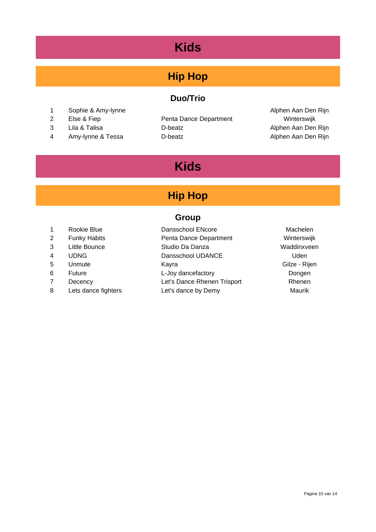# **Kids**

### **Hip Hop**

#### **Duo/Trio**

- 1 Sophie & Amy-lynne **Alphen Aan Den Rijn**
- 
- 
- 4 Amy-lynne & Tessa **D-beatz** D-beatz **Alphen Aan Den Rijn**

2 Else & Fiep **Penta Dance Department** Winterswijk 3 Lila & Talisa **D-beatz D-beatz** Alphen Aan Den Rijn

# **Kids**

## **Hip Hop**

#### **Group**

| $\mathbf 1$    | Rookie Blue         | Dansschool ENcore           | Machelen      |
|----------------|---------------------|-----------------------------|---------------|
| 2              | <b>Funky Habits</b> | Penta Dance Department      | Winterswijk   |
| 3              | Little Bounce       | Studio Da Danza             | Waddinxveen   |
| $\overline{4}$ | <b>UDNG</b>         | Dansschool UDANCE           | Uden          |
| 5              | Unmute              | Kavra                       | Gilze - Rijen |
| 6              | <b>Future</b>       | L-Joy dancefactory          | Dongen        |
| 7              | Decency             | Let's Dance Rhenen Trisport | Rhenen        |
| 8              | Lets dance fighters | Let's dance by Demy         | Maurik        |
|                |                     |                             |               |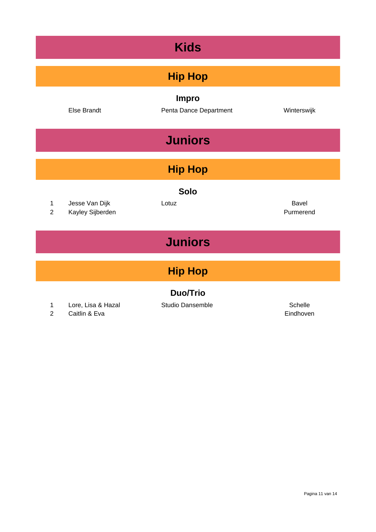| <b>Kids</b>                   |                                    |                                        |                           |  |  |
|-------------------------------|------------------------------------|----------------------------------------|---------------------------|--|--|
|                               | <b>Hip Hop</b>                     |                                        |                           |  |  |
|                               | <b>Else Brandt</b>                 | <b>Impro</b><br>Penta Dance Department | Winterswijk               |  |  |
|                               |                                    | <b>Juniors</b>                         |                           |  |  |
|                               |                                    | <b>Hip Hop</b>                         |                           |  |  |
| $\mathbf 1$<br>$\overline{2}$ | Jesse Van Dijk<br>Kayley Sijberden | <b>Solo</b><br>Lotuz                   | <b>Bavel</b><br>Purmerend |  |  |
| <b>Juniors</b>                |                                    |                                        |                           |  |  |
| <b>Hip Hop</b>                |                                    |                                        |                           |  |  |
| 1                             | Lore, Lisa & Hazal                 | <b>Duo/Trio</b><br>Studio Dansemble    | Schelle                   |  |  |

2 Caitlin & Eva **Eindhoven**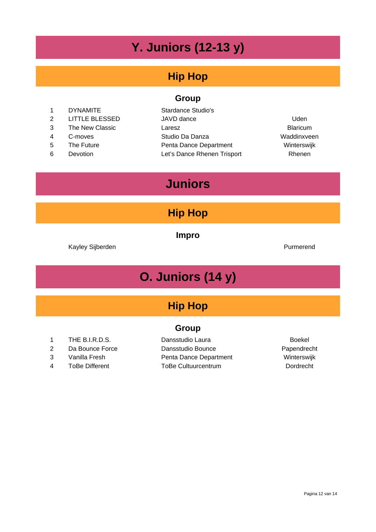# **Y. Juniors (12-13 y)**

### **Hip Hop**

#### **Group**

1 DYNAMITE Stardance Studio's 2 LITTLE BLESSED JAVD dance Uden 3 The New Classic **Laresz Laresz Constant Classic** Blaricum 4 C-moves Studio Da Danza Waddinxveen 5 The Future **National Penta Dance Department** Winterswijk 6 Devotion Let's Dance Rhenen Trisport Rhenen

### **Juniors**

#### **Hip Hop**

**Impro**

Kayley Sijberden **Purmerend** 

# **O. Juniors (14 y)**

### **Hip Hop**

#### **Group**

- 1 THE B.I.R.D.S. Dansstudio Laura Boekel
- 2 Da Bounce Force Dansstudio Bounce Papendrecht 3 Vanilla Fresh Penta Dance Department Winterswijk 4 ToBe Different ToBe Cultuurcentrum Dordrecht
-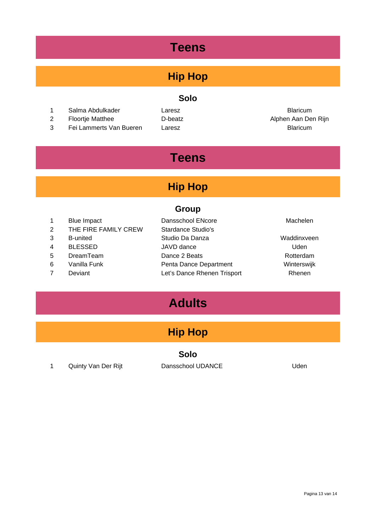# **Teens**

# **Hip Hop**

#### **Solo**

- 1 Salma Abdulkader **Laresz Laresz Blaricum**
- 2 Floortje Matthee **Network Contact Contact Contact Contact Contact Contact Contact Contact Contact Contact Contact Contact Contact Contact Contact Contact Contact Contact Contact Contact Contact Contact Contact Contact Co**
- 3 Fei Lammerts Van Bueren Laresz Blaricum

# **Teens**

### **Hip Hop**

#### **Group**

| $\overline{1}$ | <b>Blue Impact</b>   | Dansschool ENcore           | Machelen    |
|----------------|----------------------|-----------------------------|-------------|
| 2              | THE FIRE FAMILY CREW | <b>Stardance Studio's</b>   |             |
| 3              | <b>B-united</b>      | Studio Da Danza             | Waddinxveen |
| $\overline{4}$ | <b>BLESSED</b>       | JAVD dance                  | Uden        |
| -5             | DreamTeam            | Dance 2 Beats               | Rotterdam   |
| 6              | Vanilla Funk         | Penta Dance Department      | Winterswijk |
| 7              | Deviant              | Let's Dance Rhenen Trisport | Rhenen      |
|                |                      |                             |             |

# **Adults**

# **Hip Hop**

#### **Solo**

1 Quinty Van Der Rijt **Dansschool UDANCE** Volton Den Rijt